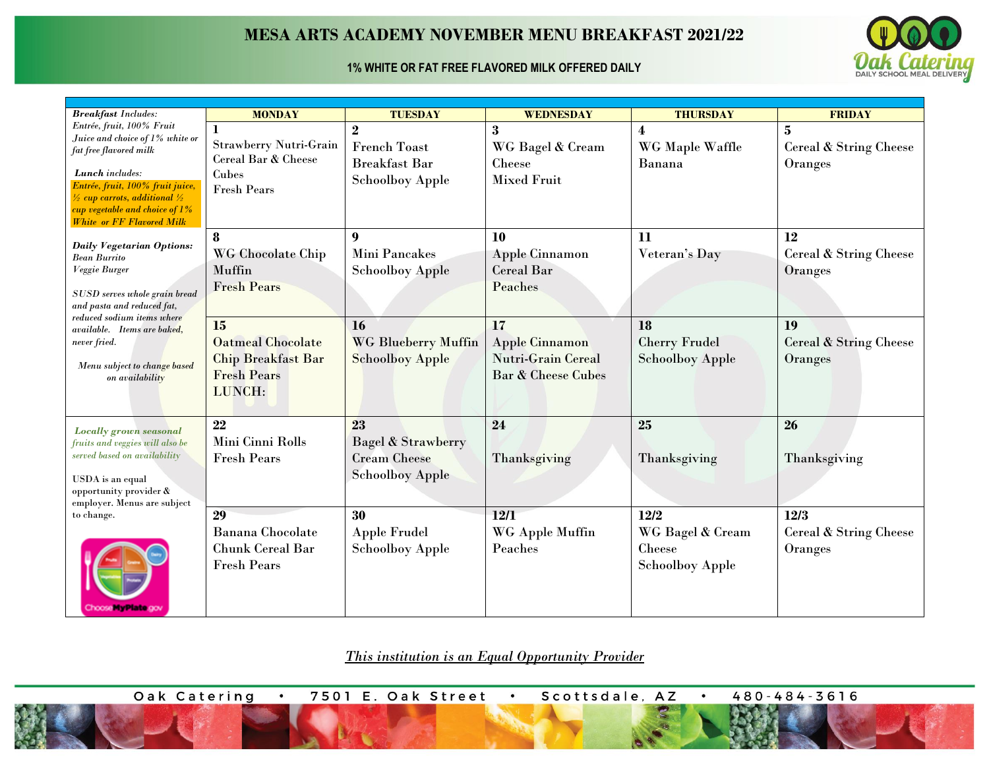## **MESA ARTS ACADEMY NOVEMBER MENU BREAKFAST 2021/22**

## **1% WHITE OR FAT FREE FLAVORED MILK OFFERED DAILY**



| <b>Breakfast Includes:</b>                                            | <b>MONDAY</b>                                   | <b>TUESDAY</b>                | WEDNESDAY                                       | <b>THURSDAY</b>         | <b>FRIDAY</b>                     |
|-----------------------------------------------------------------------|-------------------------------------------------|-------------------------------|-------------------------------------------------|-------------------------|-----------------------------------|
| Entrée, fruit, 100% Fruit<br>Juice and choice of 1% white or          |                                                 | $\mathbf{2}$                  | 3                                               | $\overline{\mathbf{4}}$ | $\bf{5}$                          |
| fat free flavored milk                                                | <b>Strawberry Nutri-Grain</b>                   | <b>French Toast</b>           | WG Bagel & Cream                                | WG Maple Waffle         | Cereal & String Cheese            |
|                                                                       | Cereal Bar & Cheese                             | <b>Breakfast Bar</b>          | Cheese                                          | Banana                  | Oranges                           |
| Lunch includes:<br>Entrée, fruit, 100% fruit juice,                   | Cubes<br><b>Fresh Pears</b>                     | <b>Schoolboy Apple</b>        | <b>Mixed Fruit</b>                              |                         |                                   |
| $\frac{1}{2}$ cup carrots, additional $\frac{1}{2}$                   |                                                 |                               |                                                 |                         |                                   |
| cup vegetable and choice of $1\%$<br><b>White or FF Flavored Milk</b> |                                                 |                               |                                                 |                         |                                   |
|                                                                       | 8                                               | 9                             | 10                                              | 11                      | 12                                |
| <b>Daily Vegetarian Options:</b>                                      | WG Chocolate Chip                               | Mini Pancakes                 | Apple Cinnamon                                  | Veteran's Day           | <b>Cereal &amp; String Cheese</b> |
| <b>Bean Burrito</b><br>Veggie Burger                                  | Muffin                                          | <b>Schoolboy Apple</b>        | <b>Cereal Bar</b>                               |                         | Oranges                           |
|                                                                       | <b>Fresh Pears</b>                              |                               | Peaches                                         |                         |                                   |
| SUSD serves whole grain bread<br>and pasta and reduced fat,           |                                                 |                               |                                                 |                         |                                   |
| reduced sodium items where                                            |                                                 |                               |                                                 |                         |                                   |
| available. Items are baked,                                           | 15                                              | <b>16</b>                     | 17                                              | <b>18</b>               | 19                                |
| never fried.                                                          | <b>Oatmeal Chocolate</b>                        | <b>WG Blueberry Muffin</b>    | <b>Apple Cinnamon</b>                           | <b>Cherry Frudel</b>    | <b>Cereal &amp; String Cheese</b> |
| Menu subject to change based                                          | <b>Chip Breakfast Bar</b><br><b>Fresh Pears</b> | <b>Schoolboy Apple</b>        | <b>Nutri-Grain Cereal</b><br>Bar & Cheese Cubes | <b>Schoolboy Apple</b>  | Oranges                           |
| on availability                                                       | LUNCH:                                          |                               |                                                 |                         |                                   |
|                                                                       |                                                 |                               |                                                 |                         |                                   |
|                                                                       | 22                                              | 23                            | 24                                              | 25                      | 26                                |
| <b>Locally grown seasonal</b><br>fruits and veggies will also be      | Mini Cinni Rolls                                | <b>Bagel &amp; Strawberry</b> |                                                 |                         |                                   |
| served based on availability                                          | <b>Fresh Pears</b>                              | <b>Cream Cheese</b>           | Thanksgiving                                    | Thanksgiving            | Thanksgiving                      |
|                                                                       |                                                 | <b>Schoolboy Apple</b>        |                                                 |                         |                                   |
| USDA is an equal<br>opportunity provider &                            |                                                 |                               |                                                 |                         |                                   |
| employer. Menus are subject                                           |                                                 |                               |                                                 |                         |                                   |
| to change.                                                            | 29                                              | 30                            | 12/1                                            | 12/2                    | 12/3                              |
|                                                                       | <b>Banana</b> Chocolate                         | <b>Apple Frudel</b>           | WG Apple Muffin                                 | WG Bagel & Cream        | Cereal & String Cheese            |
|                                                                       | <b>Chunk Cereal Bar</b>                         | <b>Schoolboy Apple</b>        | Peaches                                         | Cheese                  | Oranges                           |
|                                                                       | <b>Fresh Pears</b>                              |                               |                                                 | <b>Schoolboy Apple</b>  |                                   |
|                                                                       |                                                 |                               |                                                 |                         |                                   |
| Choose Hy Plate gov                                                   |                                                 |                               |                                                 |                         |                                   |

*This institution is an Equal Opportunity Provider*

Oak Catering 7501 E. Oak Street Scottsdale, AZ 480-484-3616  $\bullet$  $\bullet$  $\bullet$